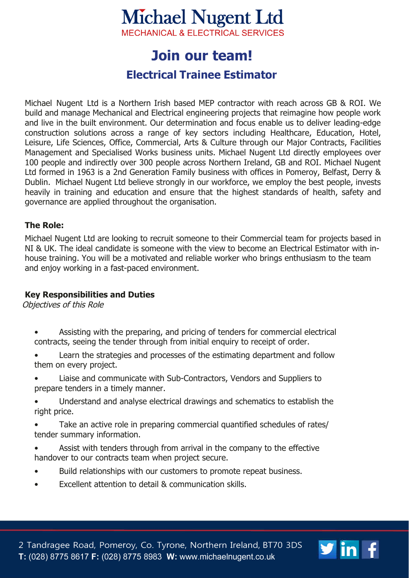# **Michael Nugent Ltd**

**MECHANICAL & ELECTRICAL SERVICES** 

## **loin our team!**

### **Electrical Trainee Estimator**

Michael Nugent Ltd is a Northern Irish based MEP contractor with reach across GB & ROI. We build and manage Mechanical and Electrical engineering projects that reimagine how people work and live in the built environment. Our determination and focus enable us to deliver leading-edge construction solutions across a range of key sectors including Healthcare, Education, Hotel, Leisure, Life Sciences, Office, Commercial, Arts & Culture through our Major Contracts, Facilities Management and Specialised Works business units. Michael Nugent Ltd directly employees over 100 people and indirectly over 300 people across Northern Ireland, GB and ROI. Michael Nugent Ltd formed in 1963 is a 2nd Generation Family business with offices in Pomeroy, Belfast, Derry & Dublin. Michael Nugent Ltd believe strongly in our workforce, we employ the best people, invests heavily in training and education and ensure that the highest standards of health, safety and governance are applied throughout the organisation.

#### **The Role:**

Michael Nugent Ltd are looking to recruit someone to their Commercial team for projects based in NI & UK. The ideal candidate is someone with the view to become an Electrical Estimator with inhouse training. You will be a motivated and reliable worker who brings enthusiasm to the team and enjoy working in a fast-paced environment.

#### **Key Responsibilities and Duties**

Objectives of this Role

- Assisting with the preparing, and pricing of tenders for commercial electrical contracts, seeing the tender through from initial enquiry to receipt of order.
- Learn the strategies and processes of the estimating department and follow them on every project.
- Liaise and communicate with Sub-Contractors, Vendors and Suppliers to prepare tenders in a timely manner.
- Understand and analyse electrical drawings and schematics to establish the right price.
- Take an active role in preparing commercial quantified schedules of rates/ tender summary information.
- Assist with tenders through from arrival in the company to the effective handover to our contracts team when project secure.
- Build relationships with our customers to promote repeat business.
- Excellent attention to detail & communication skills.